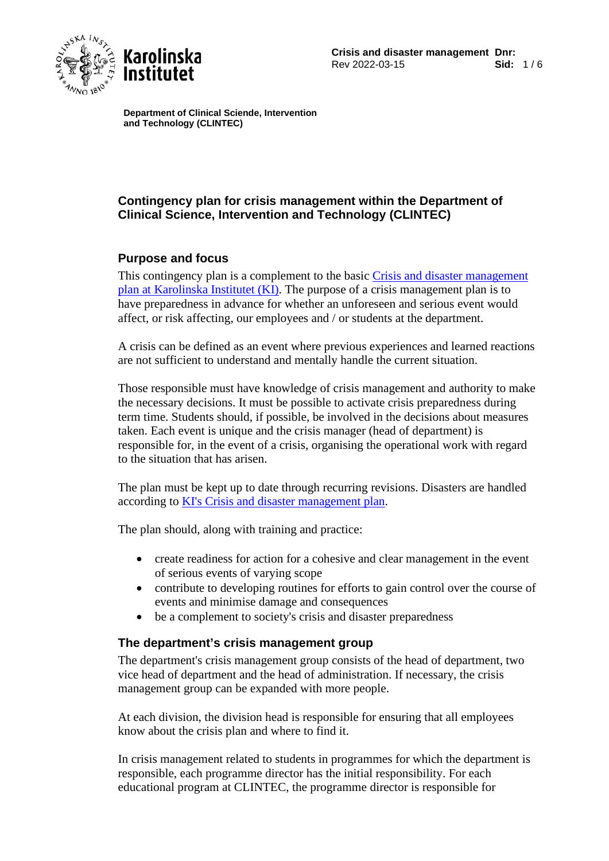

**Karolinska** Institutet

**Department of Clinical Sciende, Intervention and Technology (CLINTEC)**

# **Contingency plan for crisis management within the Department of Clinical Science, Intervention and Technology (CLINTEC)**

# **Purpose and focus**

This contingency plan is a complement to the basic Crisis and disaster management [plan at Karolinska Institutet \(KI\).](https://staff.ki.se/crisis-and-disaster-management) The purpose of a crisis management plan is to have preparedness in advance for whether an unforeseen and serious event would affect, or risk affecting, our employees and / or students at the department.

A crisis can be defined as an event where previous experiences and learned reactions are not sufficient to understand and mentally handle the current situation.

Those responsible must have knowledge of crisis management and authority to make the necessary decisions. It must be possible to activate crisis preparedness during term time. Students should, if possible, be involved in the decisions about measures taken. Each event is unique and the crisis manager (head of department) is responsible for, in the event of a crisis, organising the operational work with regard to the situation that has arisen.

The plan must be kept up to date through recurring revisions. Disasters are handled according to [KI's Crisis and disaster management plan.](https://staff.ki.se/crisis-and-disaster-management)

The plan should, along with training and practice:

- create readiness for action for a cohesive and clear management in the event of serious events of varying scope
- contribute to developing routines for efforts to gain control over the course of events and minimise damage and consequences
- be a complement to society's crisis and disaster preparedness

# **The department's crisis management group**

The department's crisis management group consists of the head of department, two vice head of department and the head of administration. If necessary, the crisis management group can be expanded with more people.

At each division, the division head is responsible for ensuring that all employees know about the crisis plan and where to find it.

In crisis management related to students in programmes for which the department is responsible, each programme director has the initial responsibility. For each educational program at CLINTEC, the programme director is responsible for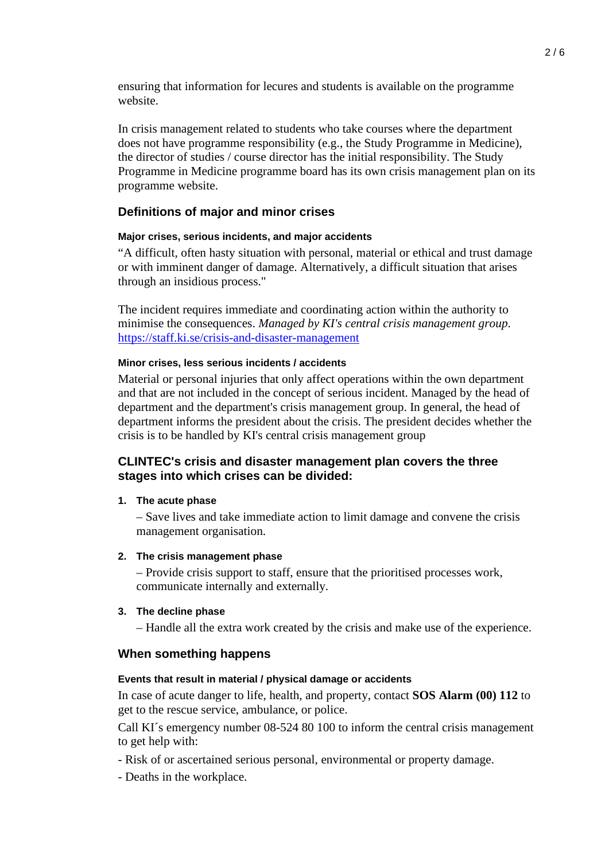ensuring that information for lecures and students is available on the programme website.

In crisis management related to students who take courses where the department does not have programme responsibility (e.g., the Study Programme in Medicine), the director of studies / course director has the initial responsibility. The Study Programme in Medicine programme board has its own crisis management plan on its programme website.

### **Definitions of major and minor crises**

#### **Major crises, serious incidents, and major accidents**

"A difficult, often hasty situation with personal, material or ethical and trust damage or with imminent danger of damage. Alternatively, a difficult situation that arises through an insidious process."

The incident requires immediate and coordinating action within the authority to minimise the consequences. *Managed by KI's central crisis management group*. <https://staff.ki.se/crisis-and-disaster-management>

#### **Minor crises, less serious incidents / accidents**

Material or personal injuries that only affect operations within the own department and that are not included in the concept of serious incident. Managed by the head of department and the department's crisis management group. In general, the head of department informs the president about the crisis. The president decides whether the crisis is to be handled by KI's central crisis management group

### **CLINTEC's crisis and disaster management plan covers the three stages into which crises can be divided:**

#### **1. The acute phase**

– Save lives and take immediate action to limit damage and convene the crisis management organisation.

#### **2. The crisis management phase**

– Provide crisis support to staff, ensure that the prioritised processes work, communicate internally and externally.

#### **3. The decline phase**

– Handle all the extra work created by the crisis and make use of the experience.

### **When something happens**

#### **Events that result in material / physical damage or accidents**

In case of acute danger to life, health, and property, contact **SOS Alarm (00) 112** to get to the rescue service, ambulance, or police.

Call KI´s emergency number 08-524 80 100 to inform the central crisis management to get help with:

- Risk of or ascertained serious personal, environmental or property damage.
- Deaths in the workplace.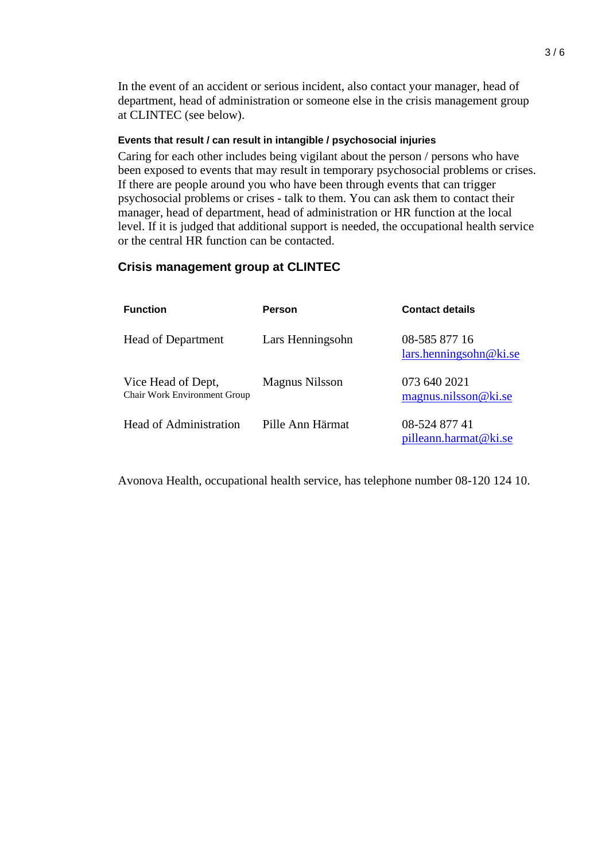In the event of an accident or serious incident, also contact your manager, head of department, head of administration or someone else in the crisis management group at CLINTEC (see below).

#### **Events that result / can result in intangible / psychosocial injuries**

Caring for each other includes being vigilant about the person / persons who have been exposed to events that may result in temporary psychosocial problems or crises. If there are people around you who have been through events that can trigger psychosocial problems or crises - talk to them. You can ask them to contact their manager, head of department, head of administration or HR function at the local level. If it is judged that additional support is needed, the occupational health service or the central HR function can be contacted.

### **Crisis management group at CLINTEC**

| <b>Function</b>                                           | <b>Person</b>    | <b>Contact details</b>                  |
|-----------------------------------------------------------|------------------|-----------------------------------------|
| <b>Head of Department</b>                                 | Lars Henningsohn | 08-585 877 16<br>lars.henningsohn@ki.se |
| Vice Head of Dept,<br><b>Chair Work Environment Group</b> | Magnus Nilsson   | 073 640 2021<br>magnus.nilsson@ki.se    |
| Head of Administration                                    | Pille Ann Härmat | 08-524 877 41<br>pilleann.harmat@ki.se  |

Avonova Health, occupational health service, has telephone number 08-120 124 10.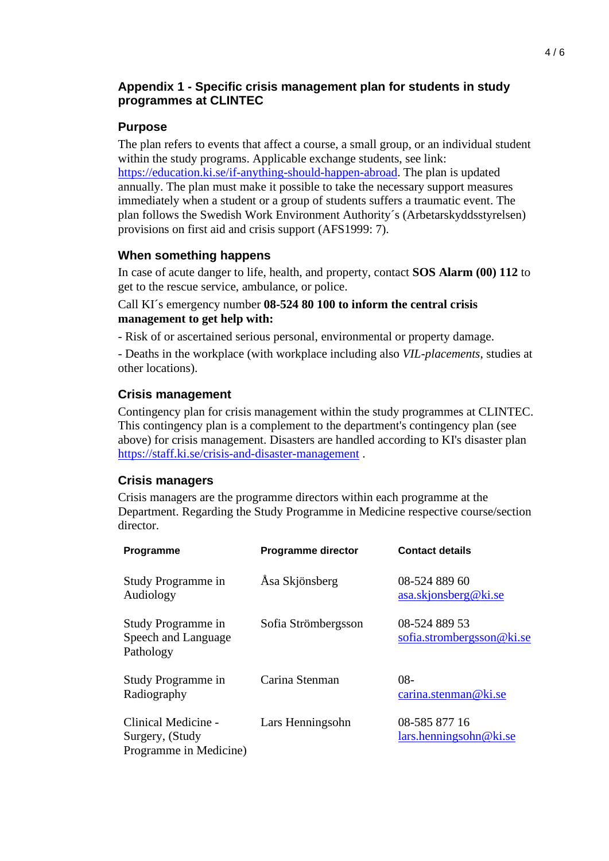# **Appendix 1 - Specific crisis management plan for students in study programmes at CLINTEC**

# **Purpose**

The plan refers to events that affect a course, a small group, or an individual student within the study programs. Applicable exchange students, see link: [https://education.ki.se/if-anything-should-happen-abroad.](https://education.ki.se/if-anything-should-happen-abroad) The plan is updated annually. The plan must make it possible to take the necessary support measures immediately when a student or a group of students suffers a traumatic event. The plan follows the Swedish Work Environment Authority´s (Arbetarskyddsstyrelsen) provisions on first aid and crisis support (AFS1999: 7).

# **When something happens**

In case of acute danger to life, health, and property, contact **SOS Alarm (00) 112** to get to the rescue service, ambulance, or police.

## Call KI´s emergency number **08-524 80 100 to inform the central crisis management to get help with:**

- Risk of or ascertained serious personal, environmental or property damage.

- Deaths in the workplace (with workplace including also *VIL-placements*, studies at other locations).

# **Crisis management**

Contingency plan for crisis management within the study programmes at CLINTEC. This contingency plan is a complement to the department's contingency plan (see above) for crisis management. Disasters are handled according to KI's disaster plan <https://staff.ki.se/crisis-and-disaster-management> .

# **Crisis managers**

Crisis managers are the programme directors within each programme at the Department. Regarding the Study Programme in Medicine respective course/section director.

| Programme                                                        | <b>Programme director</b> | <b>Contact details</b>                     |
|------------------------------------------------------------------|---------------------------|--------------------------------------------|
| Study Programme in<br>Audiology                                  | Åsa Skjönsberg            | 08-524 889 60<br>asa.skjonsberg@ki.se      |
| Study Programme in<br>Speech and Language<br>Pathology           | Sofia Strömbergsson       | 08-524 889 53<br>sofia.strombergsson@ki.se |
| Study Programme in<br>Radiography                                | Carina Stenman            | 08-<br>carina.stenman@ki.se                |
| Clinical Medicine -<br>Surgery, (Study<br>Programme in Medicine) | Lars Henningsohn          | 08-585 877 16<br>lars. henningsohn@ki.se   |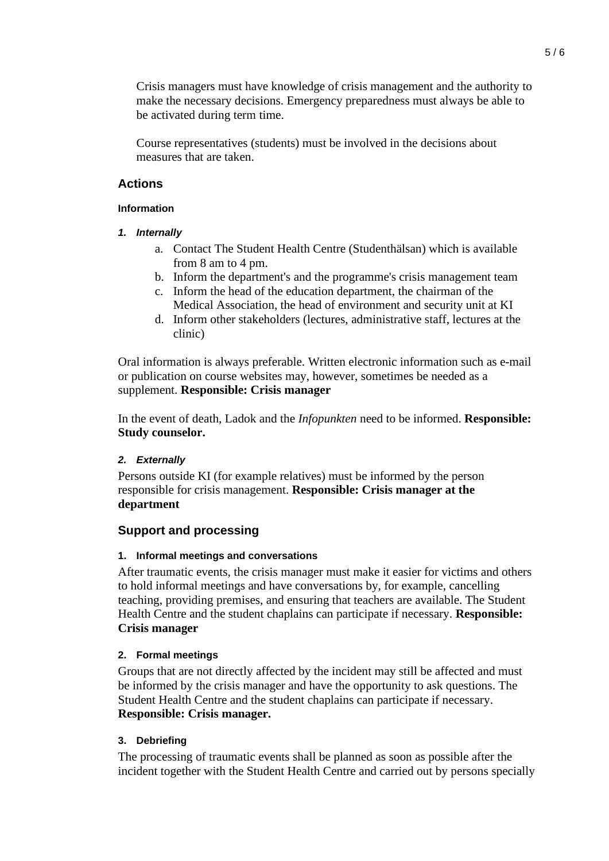Crisis managers must have knowledge of crisis management and the authority to make the necessary decisions. Emergency preparedness must always be able to be activated during term time.

Course representatives (students) must be involved in the decisions about measures that are taken.

## **Actions**

### **Information**

- *1. Internally*
	- a. Contact The Student Health Centre (Studenthälsan) which is available from 8 am to 4 pm.
	- b. Inform the department's and the programme's crisis management team
	- c. Inform the head of the education department, the chairman of the Medical Association, the head of environment and security unit at KI
	- d. Inform other stakeholders (lectures, administrative staff, lectures at the clinic)

Oral information is always preferable. Written electronic information such as e-mail or publication on course websites may, however, sometimes be needed as a supplement. **Responsible: Crisis manager**

In the event of death, Ladok and the *Infopunkten* need to be informed. **Responsible: Study counselor.**

### *2. Externally*

Persons outside KI (for example relatives) must be informed by the person responsible for crisis management. **Responsible: Crisis manager at the department**

# **Support and processing**

### **1. Informal meetings and conversations**

After traumatic events, the crisis manager must make it easier for victims and others to hold informal meetings and have conversations by, for example, cancelling teaching, providing premises, and ensuring that teachers are available. The Student Health Centre and the student chaplains can participate if necessary. **Responsible: Crisis manager**

### **2. Formal meetings**

Groups that are not directly affected by the incident may still be affected and must be informed by the crisis manager and have the opportunity to ask questions. The Student Health Centre and the student chaplains can participate if necessary. **Responsible: Crisis manager.**

### **3. Debriefing**

The processing of traumatic events shall be planned as soon as possible after the incident together with the Student Health Centre and carried out by persons specially